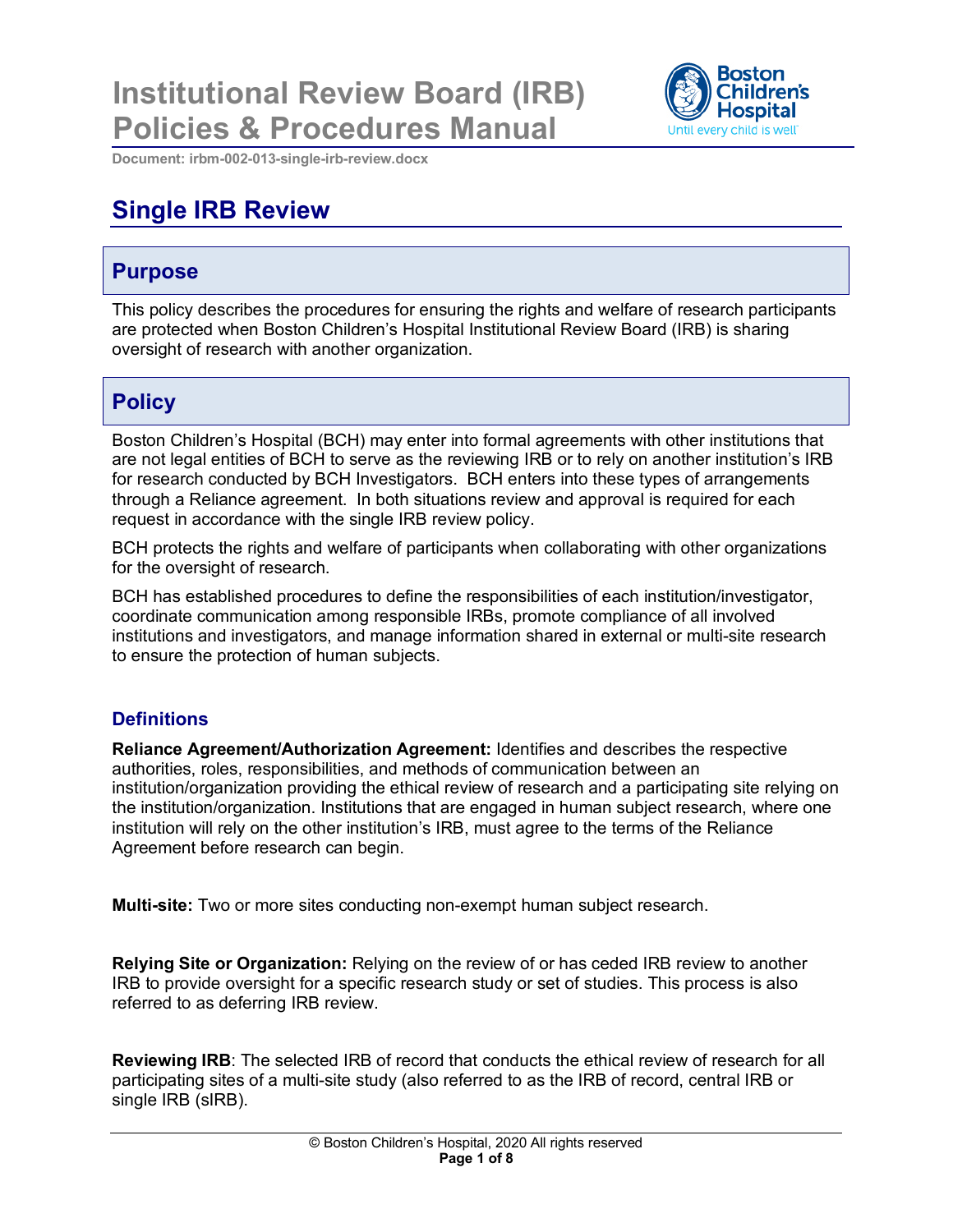# **Institutional Review Board (IRB) Policies & Procedures Manual**



**Document: irbm-002-013-single-irb-review.docx**

## **Single IRB Review**

### **Purpose**

This policy describes the procedures for ensuring the rights and welfare of research participants are protected when Boston Children's Hospital Institutional Review Board (IRB) is sharing oversight of research with another organization.

### **Policy**

Boston Children's Hospital (BCH) may enter into formal agreements with other institutions that are not legal entities of BCH to serve as the reviewing IRB or to rely on another institution's IRB for research conducted by BCH Investigators. BCH enters into these types of arrangements through a Reliance agreement. In both situations review and approval is required for each request in accordance with the single IRB review policy.

BCH protects the rights and welfare of participants when collaborating with other organizations for the oversight of research.

BCH has established procedures to define the responsibilities of each institution/investigator, coordinate communication among responsible IRBs, promote compliance of all involved institutions and investigators, and manage information shared in external or multi-site research to ensure the protection of human subjects.

#### **Definitions**

**Reliance Agreement/Authorization Agreement:** Identifies and describes the respective authorities, roles, responsibilities, and methods of communication between an institution/organization providing the ethical review of research and a participating site relying on the institution/organization. Institutions that are engaged in human subject research, where one institution will rely on the other institution's IRB, must agree to the terms of the Reliance Agreement before research can begin.

**Multi-site:** Two or more sites conducting non-exempt human subject research.

**Relying Site or Organization:** Relying on the review of or has ceded IRB review to another IRB to provide oversight for a specific research study or set of studies. This process is also referred to as deferring IRB review.

**Reviewing IRB**: The selected IRB of record that conducts the ethical review of research for all participating sites of a multi-site study (also referred to as the IRB of record, central IRB or single IRB (sIRB).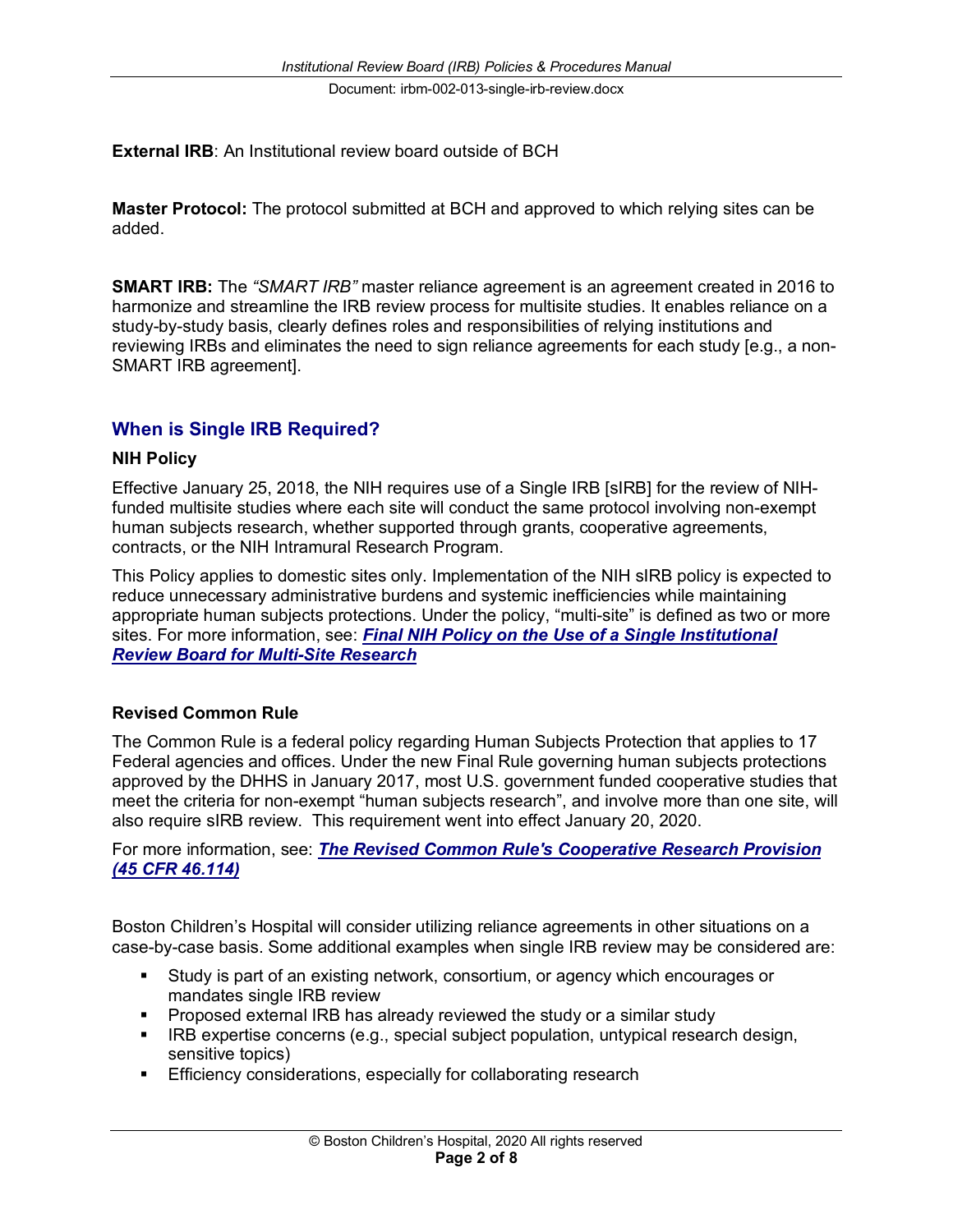**External IRB**: An Institutional review board outside of BCH

**Master Protocol:** The protocol submitted at BCH and approved to which relying sites can be added.

**SMART IRB:** The *"SMART IRB"* master reliance agreement is an agreement created in 2016 to harmonize and streamline the IRB review process for multisite studies. It enables reliance on a study-by-study basis, clearly defines roles and responsibilities of relying institutions and reviewing IRBs and eliminates the need to sign reliance agreements for each study [e.g., a non-SMART IRB agreement].

#### **When is Single IRB Required?**

#### **NIH Policy**

Effective January 25, 2018, the NIH requires use of a Single IRB [sIRB] for the review of NIHfunded multisite studies where each site will conduct the same protocol involving non-exempt human subjects research, whether supported through grants, cooperative agreements, contracts, or the NIH Intramural Research Program.

This Policy applies to domestic sites only. Implementation of the NIH sIRB policy is expected to reduce unnecessary administrative burdens and systemic inefficiencies while maintaining appropriate human subjects protections. Under the policy, "multi-site" is defined as two or more sites. For more information, see: *Final NIH Policy on the Use of a Single Institutional Review Board for Multi-Site Research*

#### **Revised Common Rule**

The Common Rule is a federal policy regarding Human Subjects Protection that applies to 17 Federal agencies and offices. Under the new Final Rule governing human subjects protections approved by the DHHS in January 2017, most U.S. government funded cooperative studies that meet the criteria for non-exempt "human subjects research", and involve more than one site, will also require sIRB review. This requirement went into effect January 20, 2020.

For more information, see: *The Revised Common Rule's Cooperative Research Provision (45 CFR 46.114)*

Boston Children's Hospital will consider utilizing reliance agreements in other situations on a case-by-case basis. Some additional examples when single IRB review may be considered are:

- § Study is part of an existing network, consortium, or agency which encourages or mandates single IRB review
- § Proposed external IRB has already reviewed the study or a similar study
- IRB expertise concerns (e.g., special subject population, untypical research design, sensitive topics)
- **Efficiency considerations, especially for collaborating research**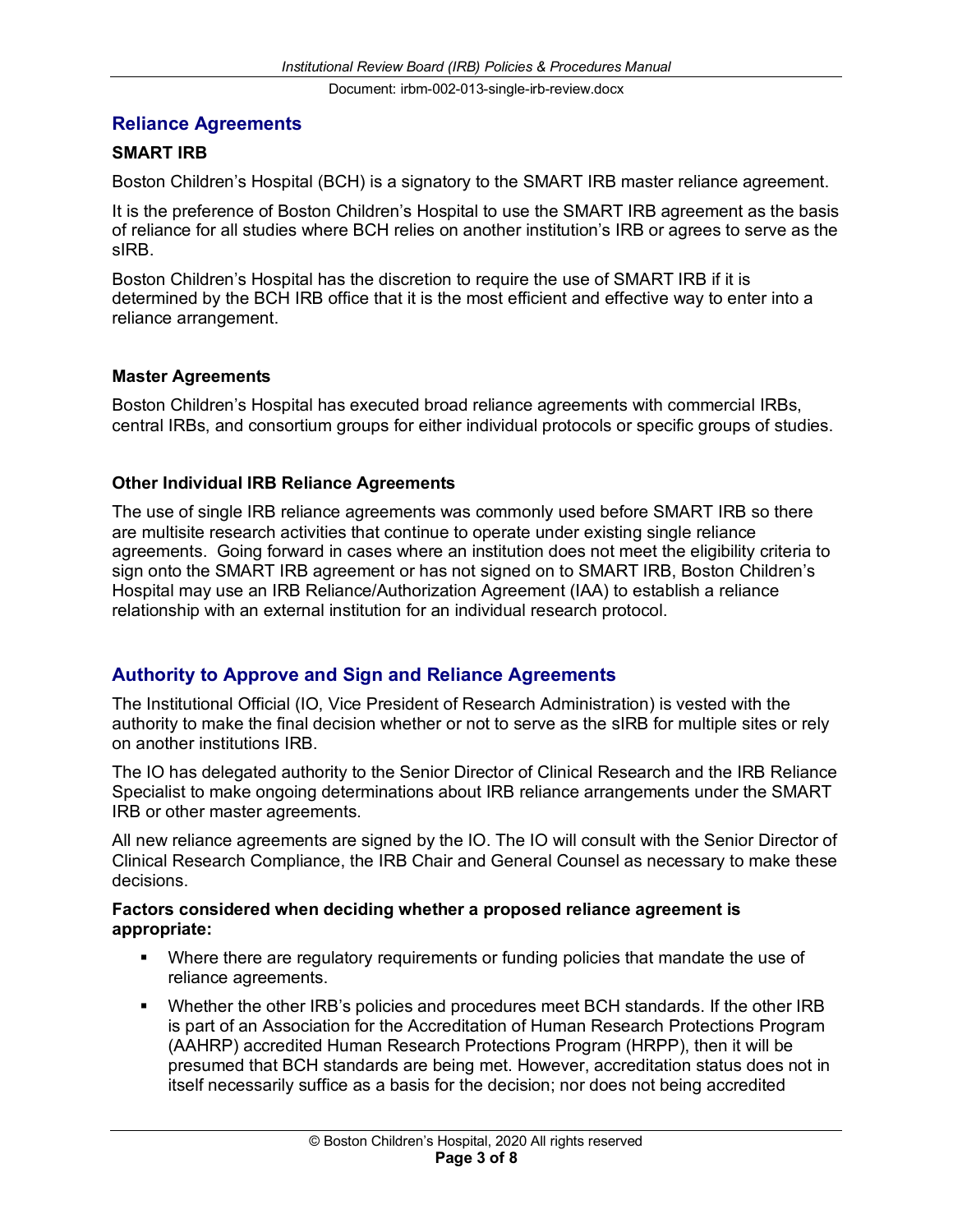#### **Reliance Agreements**

#### **SMART IRB**

Boston Children's Hospital (BCH) is a signatory to the SMART IRB master reliance agreement.

It is the preference of Boston Children's Hospital to use the SMART IRB agreement as the basis of reliance for all studies where BCH relies on another institution's IRB or agrees to serve as the sIRB.

Boston Children's Hospital has the discretion to require the use of SMART IRB if it is determined by the BCH IRB office that it is the most efficient and effective way to enter into a reliance arrangement.

#### **Master Agreements**

Boston Children's Hospital has executed broad reliance agreements with commercial IRBs, central IRBs, and consortium groups for either individual protocols or specific groups of studies.

#### **Other Individual IRB Reliance Agreements**

The use of single IRB reliance agreements was commonly used before SMART IRB so there are multisite research activities that continue to operate under existing single reliance agreements. Going forward in cases where an institution does not meet the eligibility criteria to sign onto the SMART IRB agreement or has not signed on to SMART IRB, Boston Children's Hospital may use an IRB Reliance/Authorization Agreement (IAA) to establish a reliance relationship with an external institution for an individual research protocol.

#### **Authority to Approve and Sign and Reliance Agreements**

The Institutional Official (IO, Vice President of Research Administration) is vested with the authority to make the final decision whether or not to serve as the sIRB for multiple sites or rely on another institutions IRB.

The IO has delegated authority to the Senior Director of Clinical Research and the IRB Reliance Specialist to make ongoing determinations about IRB reliance arrangements under the SMART IRB or other master agreements.

All new reliance agreements are signed by the IO. The IO will consult with the Senior Director of Clinical Research Compliance, the IRB Chair and General Counsel as necessary to make these decisions.

#### **Factors considered when deciding whether a proposed reliance agreement is appropriate:**

- § Where there are regulatory requirements or funding policies that mandate the use of reliance agreements.
- § Whether the other IRB's policies and procedures meet BCH standards. If the other IRB is part of an Association for the Accreditation of Human Research Protections Program (AAHRP) accredited Human Research Protections Program (HRPP), then it will be presumed that BCH standards are being met. However, accreditation status does not in itself necessarily suffice as a basis for the decision; nor does not being accredited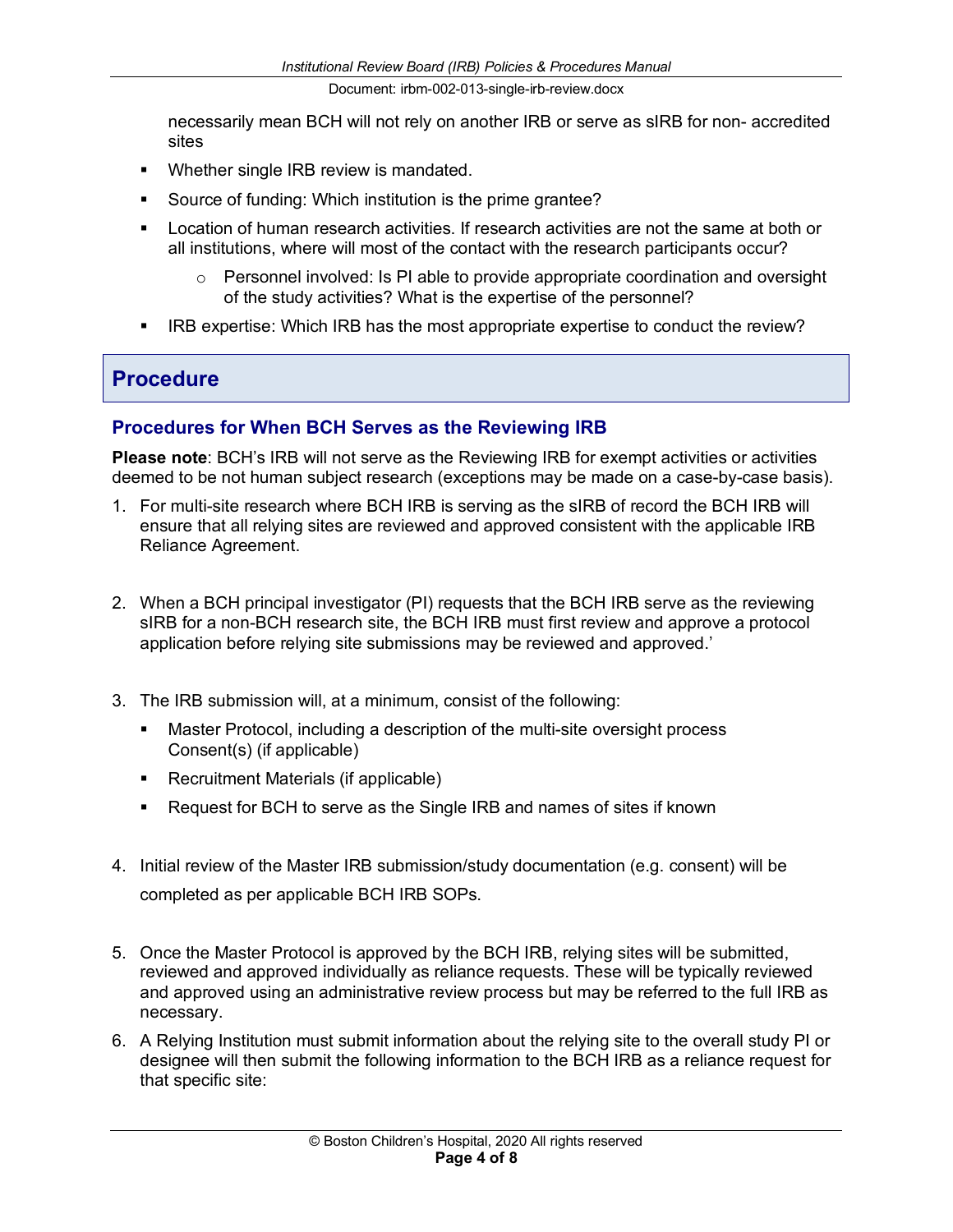necessarily mean BCH will not rely on another IRB or serve as sIRB for non- accredited sites

- Whether single IRB review is mandated.
- Source of funding: Which institution is the prime grantee?
- Location of human research activities. If research activities are not the same at both or all institutions, where will most of the contact with the research participants occur?
	- $\circ$  Personnel involved: Is PI able to provide appropriate coordination and oversight of the study activities? What is the expertise of the personnel?
- **IRB expertise: Which IRB has the most appropriate expertise to conduct the review?**

### **Procedure**

#### **Procedures for When BCH Serves as the Reviewing IRB**

**Please note**: BCH's IRB will not serve as the Reviewing IRB for exempt activities or activities deemed to be not human subject research (exceptions may be made on a case-by-case basis).

- 1. For multi-site research where BCH IRB is serving as the sIRB of record the BCH IRB will ensure that all relying sites are reviewed and approved consistent with the applicable IRB Reliance Agreement.
- 2. When a BCH principal investigator (PI) requests that the BCH IRB serve as the reviewing sIRB for a non-BCH research site, the BCH IRB must first review and approve a protocol application before relying site submissions may be reviewed and approved.'
- 3. The IRB submission will, at a minimum, consist of the following:
	- **■** Master Protocol, including a description of the multi-site oversight process Consent(s) (if applicable)
	- Recruitment Materials (if applicable)
	- Request for BCH to serve as the Single IRB and names of sites if known
- 4. Initial review of the Master IRB submission/study documentation (e.g. consent) will be completed as per applicable BCH IRB SOPs.
- 5. Once the Master Protocol is approved by the BCH IRB, relying sites will be submitted, reviewed and approved individually as reliance requests. These will be typically reviewed and approved using an administrative review process but may be referred to the full IRB as necessary.
- 6. A Relying Institution must submit information about the relying site to the overall study PI or designee will then submit the following information to the BCH IRB as a reliance request for that specific site: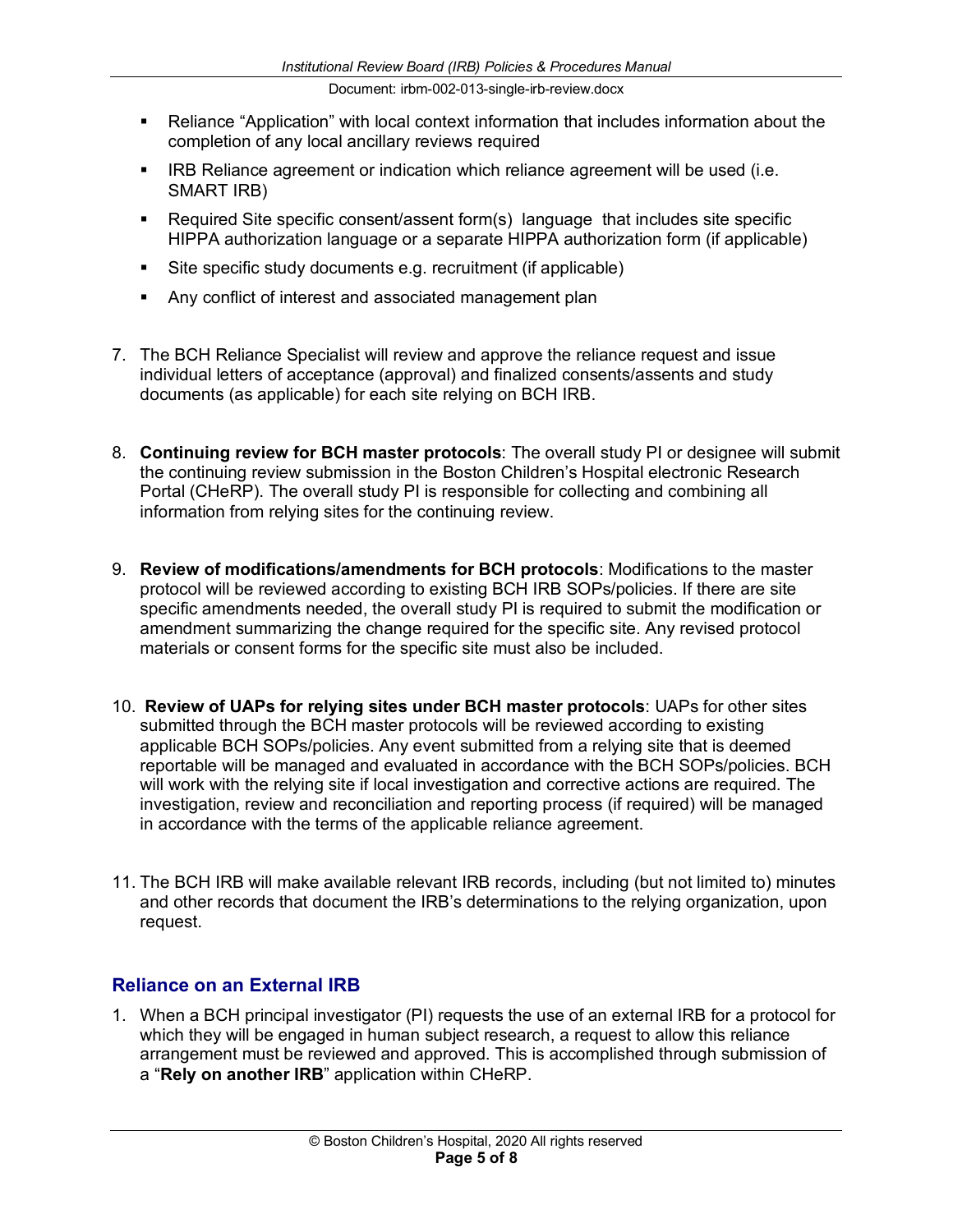- Reliance "Application" with local context information that includes information about the completion of any local ancillary reviews required
- **IRB Reliance agreement or indication which reliance agreement will be used (i.e.** SMART IRB)
- Required Site specific consent/assent form(s) language that includes site specific HIPPA authorization language or a separate HIPPA authorization form (if applicable)
- Site specific study documents e.g. recruitment (if applicable)
- Any conflict of interest and associated management plan
- 7. The BCH Reliance Specialist will review and approve the reliance request and issue individual letters of acceptance (approval) and finalized consents/assents and study documents (as applicable) for each site relying on BCH IRB.
- 8. **Continuing review for BCH master protocols**: The overall study PI or designee will submit the continuing review submission in the Boston Children's Hospital electronic Research Portal (CHeRP). The overall study PI is responsible for collecting and combining all information from relying sites for the continuing review.
- 9. **Review of modifications/amendments for BCH protocols**: Modifications to the master protocol will be reviewed according to existing BCH IRB SOPs/policies. If there are site specific amendments needed, the overall study PI is required to submit the modification or amendment summarizing the change required for the specific site. Any revised protocol materials or consent forms for the specific site must also be included.
- 10. **Review of UAPs for relying sites under BCH master protocols**: UAPs for other sites submitted through the BCH master protocols will be reviewed according to existing applicable BCH SOPs/policies. Any event submitted from a relying site that is deemed reportable will be managed and evaluated in accordance with the BCH SOPs/policies. BCH will work with the relying site if local investigation and corrective actions are required. The investigation, review and reconciliation and reporting process (if required) will be managed in accordance with the terms of the applicable reliance agreement.
- 11. The BCH IRB will make available relevant IRB records, including (but not limited to) minutes and other records that document the IRB's determinations to the relying organization, upon request.

#### **Reliance on an External IRB**

1. When a BCH principal investigator (PI) requests the use of an external IRB for a protocol for which they will be engaged in human subject research, a request to allow this reliance arrangement must be reviewed and approved. This is accomplished through submission of a "**Rely on another IRB**" application within CHeRP.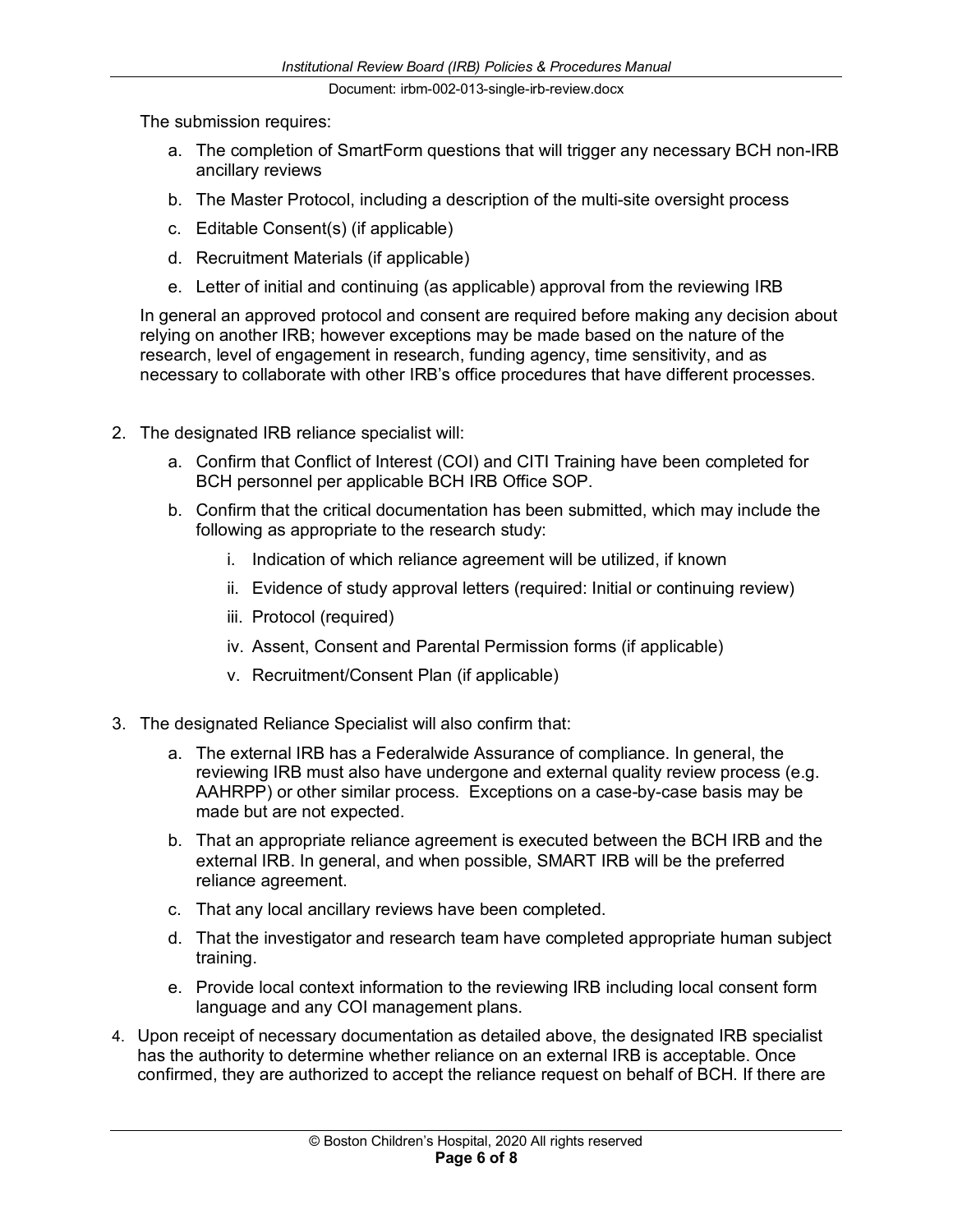The submission requires:

- a. The completion of SmartForm questions that will trigger any necessary BCH non-IRB ancillary reviews
- b. The Master Protocol, including a description of the multi-site oversight process
- c. Editable Consent(s) (if applicable)
- d. Recruitment Materials (if applicable)
- e. Letter of initial and continuing (as applicable) approval from the reviewing IRB

In general an approved protocol and consent are required before making any decision about relying on another IRB; however exceptions may be made based on the nature of the research, level of engagement in research, funding agency, time sensitivity, and as necessary to collaborate with other IRB's office procedures that have different processes.

- 2. The designated IRB reliance specialist will:
	- a. Confirm that Conflict of Interest (COI) and CITI Training have been completed for BCH personnel per applicable BCH IRB Office SOP.
	- b. Confirm that the critical documentation has been submitted, which may include the following as appropriate to the research study:
		- i. Indication of which reliance agreement will be utilized, if known
		- ii. Evidence of study approval letters (required: Initial or continuing review)
		- iii. Protocol (required)
		- iv. Assent, Consent and Parental Permission forms (if applicable)
		- v. Recruitment/Consent Plan (if applicable)
- 3. The designated Reliance Specialist will also confirm that:
	- a. The external IRB has a Federalwide Assurance of compliance. In general, the reviewing IRB must also have undergone and external quality review process (e.g. AAHRPP) or other similar process. Exceptions on a case-by-case basis may be made but are not expected.
	- b. That an appropriate reliance agreement is executed between the BCH IRB and the external IRB. In general, and when possible, SMART IRB will be the preferred reliance agreement.
	- c. That any local ancillary reviews have been completed.
	- d. That the investigator and research team have completed appropriate human subject training.
	- e. Provide local context information to the reviewing IRB including local consent form language and any COI management plans.
- 4. Upon receipt of necessary documentation as detailed above, the designated IRB specialist has the authority to determine whether reliance on an external IRB is acceptable. Once confirmed, they are authorized to accept the reliance request on behalf of BCH. If there are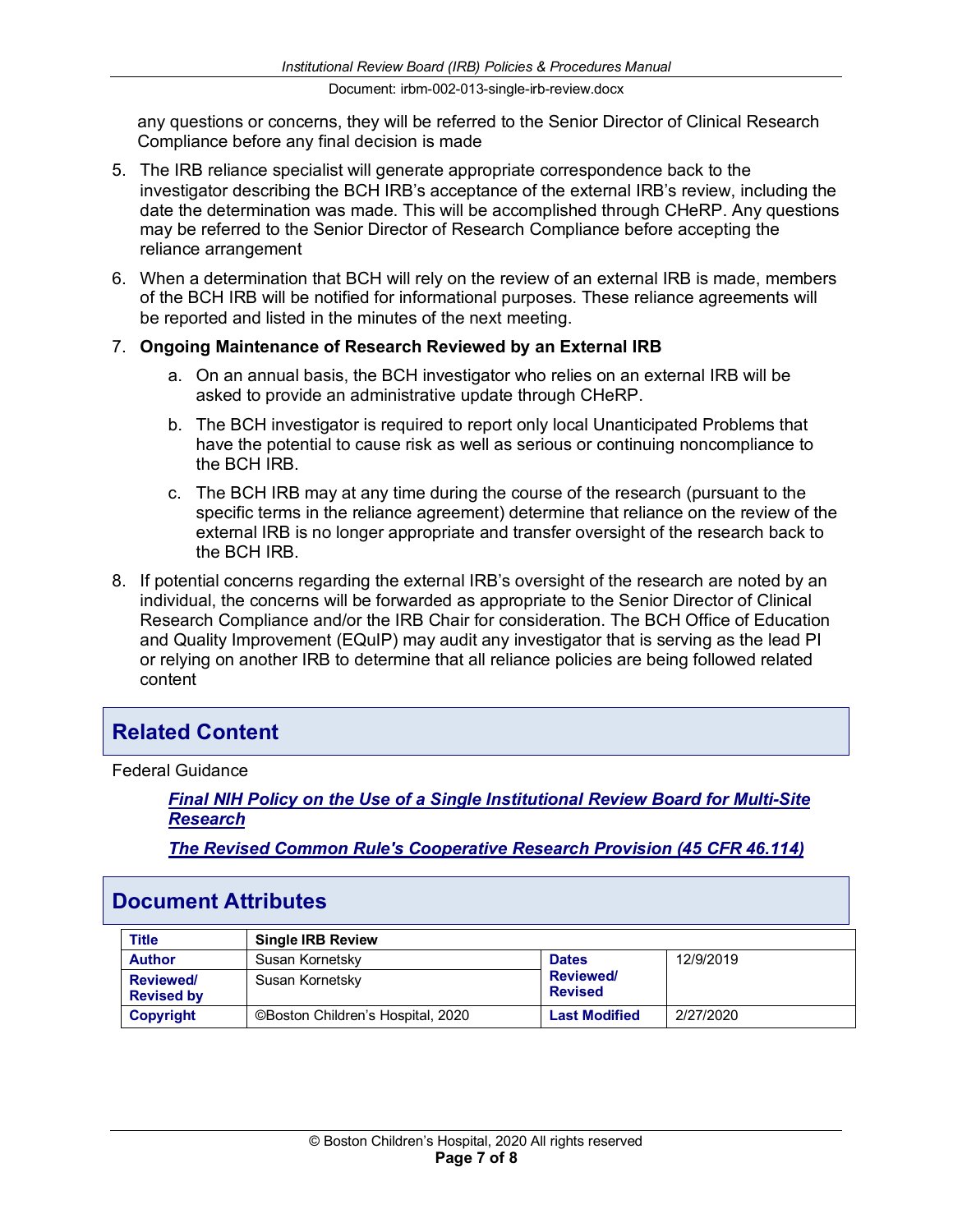any questions or concerns, they will be referred to the Senior Director of Clinical Research Compliance before any final decision is made

- 5. The IRB reliance specialist will generate appropriate correspondence back to the investigator describing the BCH IRB's acceptance of the external IRB's review, including the date the determination was made. This will be accomplished through CHeRP. Any questions may be referred to the Senior Director of Research Compliance before accepting the reliance arrangement
- 6. When a determination that BCH will rely on the review of an external IRB is made, members of the BCH IRB will be notified for informational purposes. These reliance agreements will be reported and listed in the minutes of the next meeting.

#### 7. **Ongoing Maintenance of Research Reviewed by an External IRB**

- a. On an annual basis, the BCH investigator who relies on an external IRB will be asked to provide an administrative update through CHeRP.
- b. The BCH investigator is required to report only local Unanticipated Problems that have the potential to cause risk as well as serious or continuing noncompliance to the BCH IRB.
- c. The BCH IRB may at any time during the course of the research (pursuant to the specific terms in the reliance agreement) determine that reliance on the review of the external IRB is no longer appropriate and transfer oversight of the research back to the BCH IRB.
- 8. If potential concerns regarding the external IRB's oversight of the research are noted by an individual, the concerns will be forwarded as appropriate to the Senior Director of Clinical Research Compliance and/or the IRB Chair for consideration. The BCH Office of Education and Quality Improvement (EQuIP) may audit any investigator that is serving as the lead PI or relying on another IRB to determine that all reliance policies are being followed related content

### **Related Content**

Federal Guidance

*Final NIH Policy on the Use of a Single Institutional Review Board for Multi-Site Research*

*The Revised Common Rule's Cooperative Research Provision (45 CFR 46.114)*

### **Document Attributes**

| <b>Title</b>                         | <b>Single IRB Review</b>          |                                   |           |
|--------------------------------------|-----------------------------------|-----------------------------------|-----------|
| <b>Author</b>                        | Susan Kornetsky                   | <b>Dates</b>                      | 12/9/2019 |
| <b>Reviewed</b><br><b>Revised by</b> | Susan Kornetsky                   | <b>Reviewed</b><br><b>Revised</b> |           |
| Copyright                            | ©Boston Children's Hospital, 2020 | <b>Last Modified</b>              | 2/27/2020 |